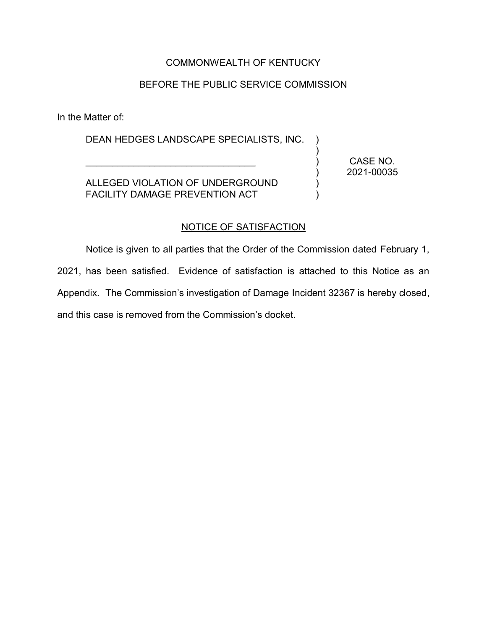# COMMONWEALTH OF KENTUCKY

## BEFORE THE PUBLIC SERVICE COMMISSION

In the Matter of:

DEAN HEDGES LANDSCAPE SPECIALISTS, INC. )

ALLEGED VIOLATION OF UNDERGROUND FACILITY DAMAGE PREVENTION ACT

 $\mathcal{L}_\text{max}$  and  $\mathcal{L}_\text{max}$  and  $\mathcal{L}_\text{max}$  and  $\mathcal{L}_\text{max}$ 

CASE NO. 2021-00035

) ) ) ) )

#### NOTICE OF SATISFACTION

Notice is given to all parties that the Order of the Commission dated February 1, 2021, has been satisfied. Evidence of satisfaction is attached to this Notice as an Appendix. The Commission's investigation of Damage Incident 32367 is hereby closed, and this case is removed from the Commission's docket.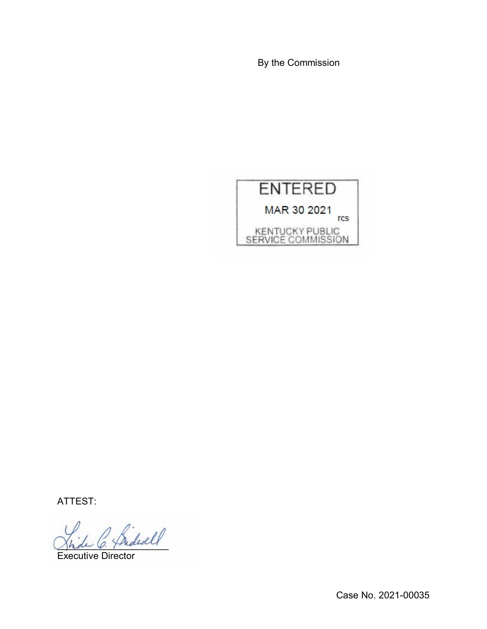By the Commission



ATTEST:

\_\_\_\_\_\_\_\_\_\_\_\_\_\_\_\_\_\_\_\_\_

Executive Director

Case No. 2021-00035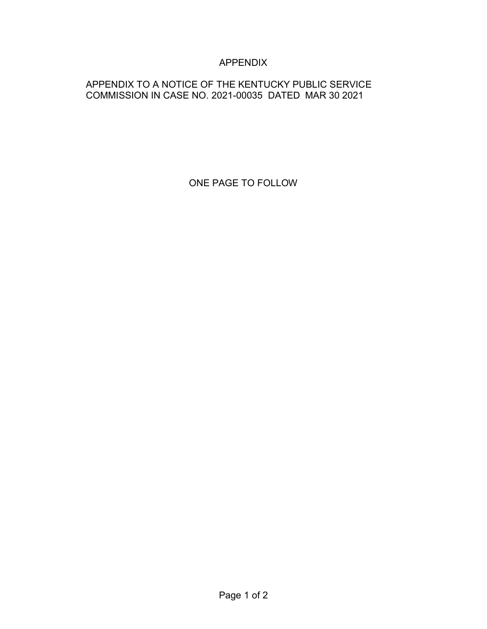# APPENDIX

# APPENDIX TO A NOTICE OF THE KENTUCKY PUBLIC SERVICE COMMISSION IN CASE NO. 2021-00035 DATED MAR 30 2021

ONE PAGE TO FOLLOW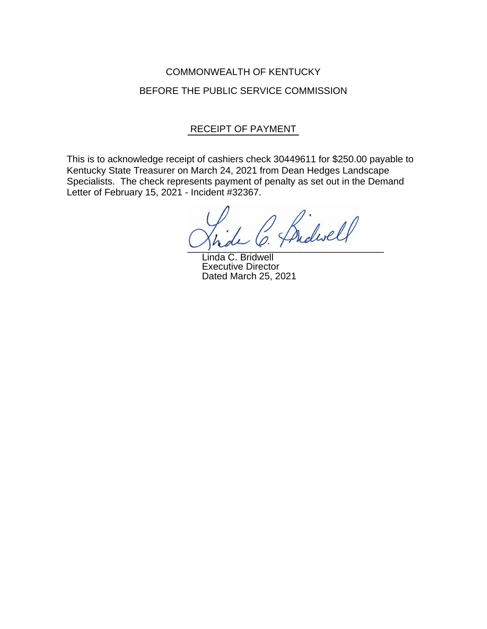# COMMONWEALTH OF KENTUCKY BEFORE THE PUBLIC SERVICE COMMISSION

# RECEIPT OF PAYMENT

This is to acknowledge receipt of cashiers check 30449611 for \$250.00 payable to Kentucky State Treasurer on March 24, 2021 from Dean Hedges Landscape Specialists. The check represents payment of penalty as set out in the Demand Letter of February 15, 2021 - Incident #32367.

 $\cup$  place  $\ell$  :

Linda C. Bridwell Executive Director Dated March 25, 2021